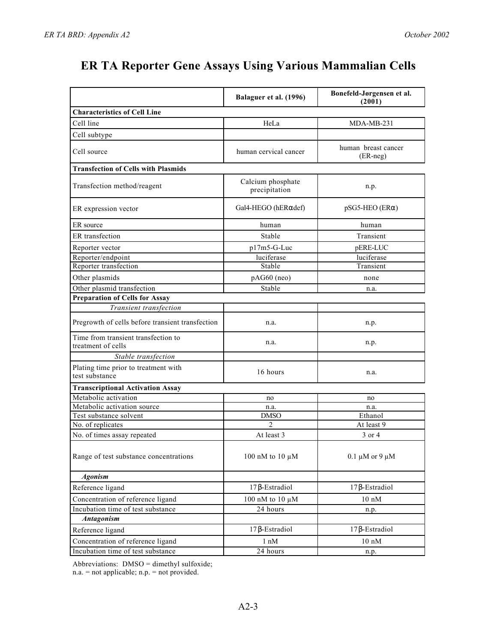|                                                           | Balaguer et al. (1996)             | Bonefeld-Jørgensen et al.<br>(2001) |
|-----------------------------------------------------------|------------------------------------|-------------------------------------|
| <b>Characteristics of Cell Line</b>                       |                                    |                                     |
| Cell line                                                 | HeLa                               | $MDA-MB-231$                        |
| Cell subtype                                              |                                    |                                     |
| Cell source                                               | human cervical cancer              | human breast cancer<br>(ER-neg)     |
| <b>Transfection of Cells with Plasmids</b>                |                                    |                                     |
| Transfection method/reagent                               | Calcium phosphate<br>precipitation | n.p.                                |
| ER expression vector                                      | Gal4-HEGO (hER def)                | $pSG5-HEO$ (ER)                     |
| ER source                                                 | human                              | human                               |
| ER transfection                                           | Stable                             | Transient                           |
| Reporter vector                                           | $p17m5-G-Luc$                      | pERE-LUC                            |
| Reporter/endpoint                                         | luciferase                         | luciferase                          |
| Reporter transfection                                     | Stable                             | Transient                           |
| Other plasmids                                            | $pAG60$ (neo)                      | none                                |
| Other plasmid transfection                                | Stable                             | n.a.                                |
| <b>Preparation of Cells for Assay</b>                     |                                    |                                     |
| Transient transfection                                    |                                    |                                     |
| Pregrowth of cells before transient transfection          | n.a.                               | n.p.                                |
| Time from transient transfection to<br>treatment of cells | n.a.                               | n.p.                                |
| Stable transfection                                       |                                    |                                     |
| Plating time prior to treatment with<br>test substance    | 16 hours                           | n.a.                                |
| <b>Transcriptional Activation Assay</b>                   |                                    |                                     |
| Metabolic activation                                      | no                                 | no                                  |
| Metabolic activation source                               | n.a.                               | n.a.                                |
| Test substance solvent                                    | <b>DMSO</b>                        | Ethanol                             |
| No. of replicates                                         | 2                                  | At least 9                          |
| No. of times assay repeated                               | At least 3                         | 3 or 4                              |
| Range of test substance concentrations                    | 100 nM to 10 $\mu$ M               | $0.1 \mu M$ or 9 $\mu M$            |
| <b>Agonism</b>                                            |                                    |                                     |
| Reference ligand                                          | 17 -Estradiol                      | 17 -Estradiol                       |
| Concentration of reference ligand                         | 100 nM to 10 μM                    | $10~\mathrm{nM}$                    |
| Incubation time of test substance                         | 24 hours                           | n.p.                                |
| Antagonism                                                |                                    |                                     |
| Reference ligand                                          | -Estradiol<br>17                   | 17 -Estradiol                       |
| Concentration of reference ligand                         | $1 \text{ nM}$                     | $10 \text{ nM}$                     |
| Incubation time of test substance                         | 24 hours                           | n.p.                                |

Abbreviations: DMSO = dimethyl sulfoxide;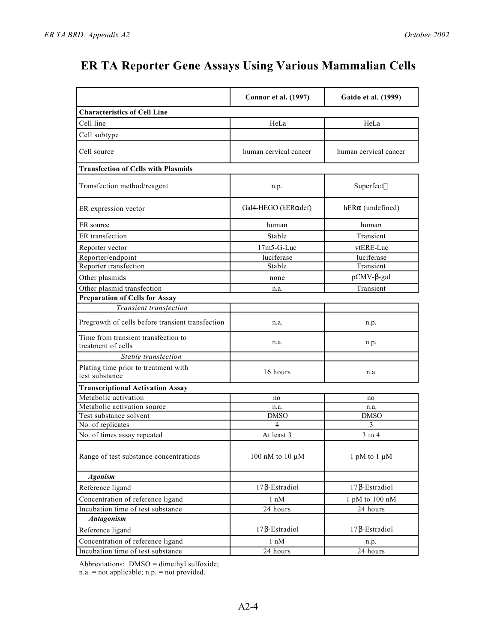|                                                           | <b>Connor et al. (1997)</b> | Gaido et al. (1999)   |
|-----------------------------------------------------------|-----------------------------|-----------------------|
| <b>Characteristics of Cell Line</b>                       |                             |                       |
| Cell line                                                 | HeLa                        | HeLa                  |
| Cell subtype                                              |                             |                       |
|                                                           |                             |                       |
| Cell source                                               | human cervical cancer       | human cervical cancer |
| <b>Transfection of Cells with Plasmids</b>                |                             |                       |
| Transfection method/reagent                               | n.p.                        | Superfect             |
| ER expression vector                                      | Gal4-HEGO (hER def)         | hER (undefined)       |
| ER source                                                 | human                       | human                 |
| ER transfection                                           | Stable                      | Transient             |
| Reporter vector                                           | $17m5-G-Luc$                | vtERE-Luc             |
| Reporter/endpoint                                         | luciferase                  | luciferase            |
| Reporter transfection                                     | Stable                      | Transient             |
| Other plasmids                                            | none                        | pCMV- -gal            |
| Other plasmid transfection                                | n.a.                        | Transient             |
| <b>Preparation of Cells for Assay</b>                     |                             |                       |
| Transient transfection                                    |                             |                       |
| Pregrowth of cells before transient transfection          | n.a.                        | n.p.                  |
| Time from transient transfection to<br>treatment of cells | n.a.                        | n.p.                  |
| Stable transfection                                       |                             |                       |
| Plating time prior to treatment with<br>test substance    | 16 hours                    | n.a.                  |
| <b>Transcriptional Activation Assay</b>                   |                             |                       |
| Metabolic activation                                      | no                          | no                    |
| Metabolic activation source                               | n.a.                        | n.a.                  |
| Test substance solvent                                    | <b>DMSO</b>                 | <b>DMSO</b>           |
| No. of replicates                                         | 4                           | 3                     |
| No. of times assay repeated                               | At least 3                  | $3$ to $4$            |
| Range of test substance concentrations                    | 100 nM to 10 $\mu$ M        | 1 pM to 1 $\mu$ M     |
| <b>Agonism</b>                                            |                             |                       |
| Reference ligand                                          | 17 -Estradiol               | 17 -Estradiol         |
| Concentration of reference ligand                         | $1 \text{ nM}$              | 1 pM to 100 nM        |
| Incubation time of test substance                         | 24 hours                    | 24 hours              |
| Antagonism                                                |                             |                       |
| Reference ligand                                          | 17 -Estradiol               | 17 -Estradiol         |
| Concentration of reference ligand                         | 1 nM                        | n.p.                  |
| Incubation time of test substance                         | 24 hours                    | 24 hours              |

Abbreviations: DMSO = dimethyl sulfoxide;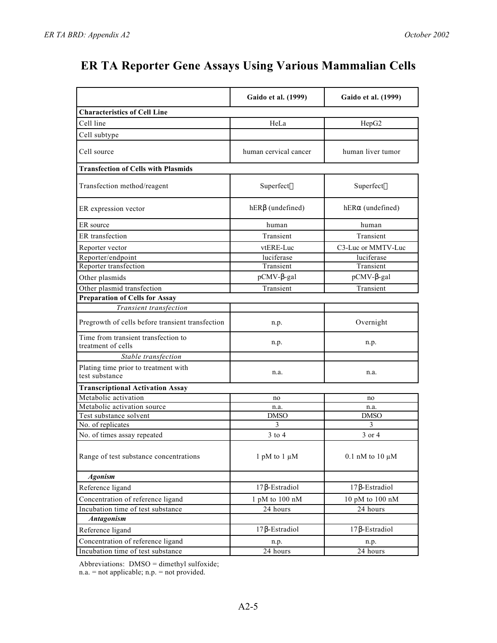|                                                           | Gaido et al. (1999)   | Gaido et al. (1999)    |
|-----------------------------------------------------------|-----------------------|------------------------|
| <b>Characteristics of Cell Line</b>                       |                       |                        |
| Cell line                                                 | HeLa                  | HepG <sub>2</sub>      |
| Cell subtype                                              |                       |                        |
| Cell source                                               | human cervical cancer | human liver tumor      |
| <b>Transfection of Cells with Plasmids</b>                |                       |                        |
| Transfection method/reagent                               | Superfect             | Superfect              |
| ER expression vector                                      | hER (undefined)       | hER (undefined)        |
| ER source                                                 | human                 | human                  |
| ER transfection                                           | Transient             | Transient              |
| Reporter vector                                           | vtERE-Luc             | C3-Luc or MMTV-Luc     |
| Reporter/endpoint                                         | luciferase            | luciferase             |
| Reporter transfection                                     | Transient             | Transient              |
| Other plasmids                                            | pCMV- -gal            | pCMV- -gal             |
| Other plasmid transfection                                | Transient             | Transient              |
| <b>Preparation of Cells for Assay</b>                     |                       |                        |
| Transient transfection                                    |                       |                        |
| Pregrowth of cells before transient transfection          | n.p.                  | Overnight              |
| Time from transient transfection to<br>treatment of cells | n.p.                  | n.p.                   |
| Stable transfection                                       |                       |                        |
| Plating time prior to treatment with<br>test substance    | n.a.                  | n.a.                   |
| <b>Transcriptional Activation Assay</b>                   |                       |                        |
| Metabolic activation                                      | no                    | no                     |
| Metabolic activation source                               | n.a.                  | n.a.                   |
| Test substance solvent                                    | <b>DMSO</b>           | <b>DMSO</b>            |
| No. of replicates                                         | 3                     | 3                      |
| No. of times assay repeated                               | $3$ to $4$            | 3 or 4                 |
| Range of test substance concentrations                    | 1 pM to 1 $\mu$ M     | $0.1$ nM to $10 \mu$ M |
| <b>Agonism</b>                                            |                       |                        |
| Reference ligand                                          | 17 -Estradiol         | 17 -Estradiol          |
| Concentration of reference ligand                         | 1 pM to 100 nM        | 10 pM to 100 nM        |
| Incubation time of test substance                         | 24 hours              | 24 hours               |
| <b>Antagonism</b>                                         |                       |                        |
| Reference ligand                                          | -Estradiol<br>17      | 17 -Estradiol          |
| Concentration of reference ligand                         | n.p.                  | n.p.                   |
| Incubation time of test substance                         | 24 hours              | 24 hours               |

Abbreviations: DMSO = dimethyl sulfoxide;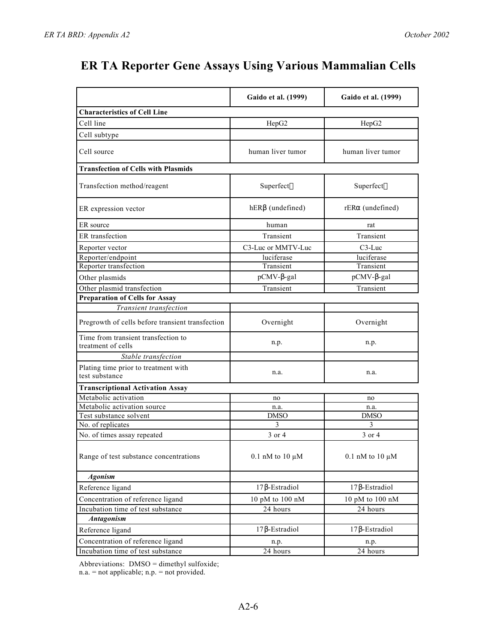|                                                           | Gaido et al. (1999)    | Gaido et al. (1999)    |
|-----------------------------------------------------------|------------------------|------------------------|
| <b>Characteristics of Cell Line</b>                       |                        |                        |
| Cell line                                                 | HepG <sub>2</sub>      | HepG <sub>2</sub>      |
| Cell subtype                                              |                        |                        |
|                                                           |                        |                        |
| Cell source                                               | human liver tumor      | human liver tumor      |
| <b>Transfection of Cells with Plasmids</b>                |                        |                        |
| Transfection method/reagent                               | Superfect              | Superfect              |
| ER expression vector                                      | hER (undefined)        | rER (undefined)        |
| ER source                                                 | human                  | rat                    |
| ER transfection                                           | Transient              | Transient              |
| Reporter vector                                           | C3-Luc or MMTV-Luc     | $C3$ -Luc              |
| Reporter/endpoint                                         | luciferase             | luciferase             |
| Reporter transfection                                     | Transient              | Transient              |
| Other plasmids                                            | pCMV- -gal             | pCMV- -gal             |
| Other plasmid transfection                                | Transient              | Transient              |
| <b>Preparation of Cells for Assay</b>                     |                        |                        |
| Transient transfection                                    |                        |                        |
| Pregrowth of cells before transient transfection          | Overnight              | Overnight              |
| Time from transient transfection to<br>treatment of cells | n.p.                   | n.p.                   |
| Stable transfection                                       |                        |                        |
| Plating time prior to treatment with<br>test substance    | n.a.                   | n.a.                   |
| <b>Transcriptional Activation Assay</b>                   |                        |                        |
| Metabolic activation                                      | no                     | no                     |
| Metabolic activation source                               | n.a.                   | n.a.                   |
| Test substance solvent                                    | <b>DMSO</b>            | <b>DMSO</b>            |
| No. of replicates                                         | 3                      | 3                      |
| No. of times assay repeated                               | 3 or 4                 | 3 or 4                 |
| Range of test substance concentrations                    | $0.1$ nM to $10 \mu M$ | $0.1$ nM to $10 \mu$ M |
| <b>Agonism</b>                                            |                        |                        |
| Reference ligand                                          | 17 -Estradiol          | 17 -Estradiol          |
| Concentration of reference ligand                         | 10 pM to 100 nM        | 10 pM to 100 nM        |
| Incubation time of test substance                         | 24 hours               | 24 hours               |
| <b>Antagonism</b>                                         |                        |                        |
| Reference ligand                                          | -Estradiol<br>17       | 17 -Estradiol          |
| Concentration of reference ligand                         | n.p.                   | n.p.                   |
| Incubation time of test substance                         | 24 hours               | 24 hours               |

Abbreviations: DMSO = dimethyl sulfoxide;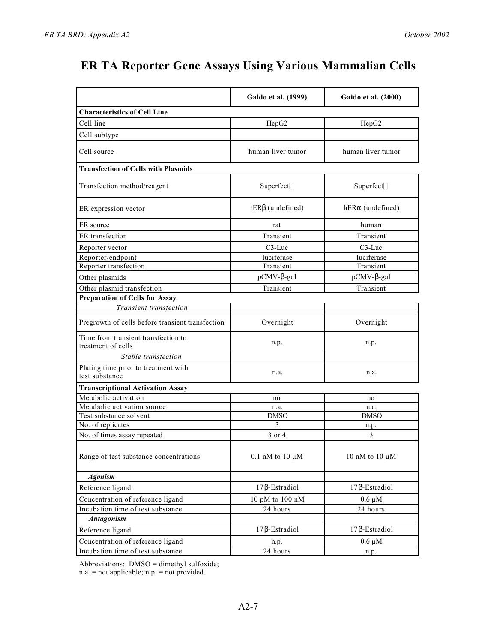|                                                           | Gaido et al. (1999)    | Gaido et al. (2000) |
|-----------------------------------------------------------|------------------------|---------------------|
| <b>Characteristics of Cell Line</b>                       |                        |                     |
| Cell line                                                 | HepG <sub>2</sub>      | HepG <sub>2</sub>   |
| Cell subtype                                              |                        |                     |
|                                                           |                        |                     |
| Cell source                                               | human liver tumor      | human liver tumor   |
| <b>Transfection of Cells with Plasmids</b>                |                        |                     |
| Transfection method/reagent                               | Superfect              | Superfect           |
| ER expression vector                                      | rER (undefined)        | hER (undefined)     |
| ER source                                                 | rat                    | human               |
| ER transfection                                           | Transient              | Transient           |
| Reporter vector                                           | $C3$ -Luc              | $C3$ -Luc           |
| Reporter/endpoint                                         | luciferase             | luciferase          |
| Reporter transfection                                     | Transient              | Transient           |
| Other plasmids                                            | pCMV- -gal             | pCMV- -gal          |
| Other plasmid transfection                                | Transient              | Transient           |
| <b>Preparation of Cells for Assay</b>                     |                        |                     |
| Transient transfection                                    |                        |                     |
| Pregrowth of cells before transient transfection          | Overnight              | Overnight           |
| Time from transient transfection to<br>treatment of cells | n.p.                   | n.p.                |
| Stable transfection                                       |                        |                     |
| Plating time prior to treatment with<br>test substance    | n.a.                   | n.a.                |
| <b>Transcriptional Activation Assay</b>                   |                        |                     |
| Metabolic activation                                      | no                     | no                  |
| Metabolic activation source                               | n.a.                   | n.a.                |
| Test substance solvent                                    | <b>DMSO</b>            | <b>DMSO</b>         |
| No. of replicates                                         | 3                      | n.p.                |
| No. of times assay repeated                               | 3 or 4                 | 3                   |
| Range of test substance concentrations                    | $0.1$ nM to $10 \mu M$ | 10 nM to 10 $\mu$ M |
| <b>Agonism</b>                                            |                        |                     |
| Reference ligand                                          | 17 -Estradiol          | 17 - Estradiol      |
| Concentration of reference ligand                         | 10 pM to 100 nM        | $0.6 \mu M$         |
| Incubation time of test substance                         | 24 hours               | 24 hours            |
| <b>Antagonism</b>                                         |                        |                     |
| Reference ligand                                          | -Estradiol<br>17       | -Estradiol<br>17    |
| Concentration of reference ligand                         | n.p.                   | $0.6 \mu M$         |
| Incubation time of test substance                         | 24 hours               | n.p.                |

Abbreviations: DMSO = dimethyl sulfoxide;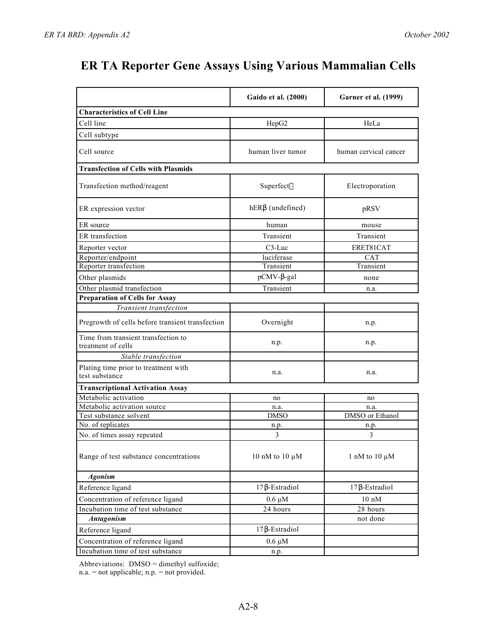|                                                           | Gaido et al. (2000) | <b>Garner et al. (1999)</b> |
|-----------------------------------------------------------|---------------------|-----------------------------|
| <b>Characteristics of Cell Line</b>                       |                     |                             |
| Cell line                                                 | HepG2               | HeLa                        |
| Cell subtype                                              |                     |                             |
| Cell source                                               | human liver tumor   | human cervical cancer       |
| <b>Transfection of Cells with Plasmids</b>                |                     |                             |
| Transfection method/reagent                               | Superfect           | Electroporation             |
| ER expression vector                                      | hER (undefined)     | pRSV                        |
| ER source                                                 | human               | mouse                       |
| ER transfection                                           | Transient           | Transient                   |
| Reporter vector                                           | C3-Luc              | ERET81CAT                   |
| Reporter/endpoint                                         | luciferase          | <b>CAT</b>                  |
| Reporter transfection                                     | Transient           | Transient                   |
| Other plasmids                                            | pCMV--gal           | none                        |
| Other plasmid transfection                                | Transient           | n.a.                        |
| <b>Preparation of Cells for Assay</b>                     |                     |                             |
| Transient transfection                                    |                     |                             |
| Pregrowth of cells before transient transfection          | Overnight           | n.p.                        |
| Time from transient transfection to<br>treatment of cells | n.p.                | n.p.                        |
| Stable transfection                                       |                     |                             |
| Plating time prior to treatment with<br>test substance    | n.a.                | n.a.                        |
| <b>Transcriptional Activation Assay</b>                   |                     |                             |
| Metabolic activation                                      | no                  | no                          |
| Metabolic activation source                               | n.a.                | n.a.                        |
| Test substance solvent                                    | <b>DMSO</b>         | DMSO or Ethanol             |
| No. of replicates                                         | n.p.                | n.p.                        |
| No. of times assay repeated                               | 3                   | 3                           |
| Range of test substance concentrations                    | 10 nM to 10 $\mu$ M | 1 nM to 10 $\mu$ M          |
| <b>Agonism</b>                                            |                     |                             |
| Reference ligand                                          | 17 -Estradiol       | 17 -Estradiol               |
| Concentration of reference ligand                         | $0.6 \mu M$         | $10 \text{ nM}$             |
| Incubation time of test substance                         | 24 hours            | 28 hours                    |
| <b>Antagonism</b>                                         |                     | not done                    |
| Reference ligand                                          | -Estradiol<br>17    |                             |
| Concentration of reference ligand                         | $0.6 \mu M$         |                             |
| Incubation time of test substance                         | n.p.                |                             |

Abbreviations: DMSO = dimethyl sulfoxide;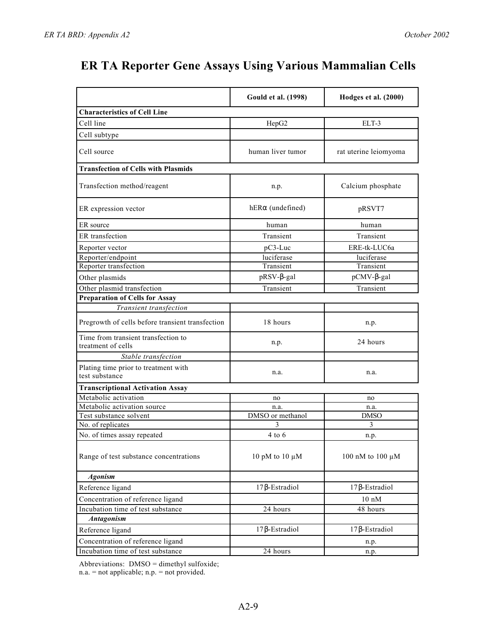|                                                           | <b>Gould et al. (1998)</b> | Hodges et al. (2000)  |
|-----------------------------------------------------------|----------------------------|-----------------------|
| <b>Characteristics of Cell Line</b>                       |                            |                       |
| Cell line                                                 | HepG <sub>2</sub>          | ELT-3                 |
| Cell subtype                                              |                            |                       |
| Cell source                                               | human liver tumor          | rat uterine leiomyoma |
| <b>Transfection of Cells with Plasmids</b>                |                            |                       |
| Transfection method/reagent                               | n.p.                       | Calcium phosphate     |
| ER expression vector                                      | hER (undefined)            | pRSVT7                |
| ER source                                                 | human                      | human                 |
| ER transfection                                           | Transient                  | Transient             |
| Reporter vector                                           | $pC3-Luc$                  | ERE-tk-LUC6a          |
| Reporter/endpoint                                         | luciferase                 | luciferase            |
| Reporter transfection                                     | Transient                  | Transient             |
| Other plasmids                                            | pRSV- -gal                 | pCMV- -gal            |
| Other plasmid transfection                                | Transient                  | Transient             |
| <b>Preparation of Cells for Assay</b>                     |                            |                       |
| Transient transfection                                    |                            |                       |
| Pregrowth of cells before transient transfection          | 18 hours                   | n.p.                  |
| Time from transient transfection to<br>treatment of cells | n.p.                       | 24 hours              |
| Stable transfection                                       |                            |                       |
| Plating time prior to treatment with<br>test substance    | n.a.                       | n.a.                  |
| <b>Transcriptional Activation Assay</b>                   |                            |                       |
| Metabolic activation                                      | no                         | no                    |
| Metabolic activation source                               | n.a.                       | n.a.                  |
| Test substance solvent                                    | DMSO or methanol           | <b>DMSO</b>           |
| No. of replicates                                         | 3                          | 3                     |
| No. of times assay repeated                               | 4 to 6                     | n.p.                  |
| Range of test substance concentrations                    | 10 pM to 10 $\mu$ M        | 100 nM to 100 μM      |
| <b>Agonism</b>                                            |                            |                       |
| Reference ligand                                          | 17 -Estradiol              | 17 -Estradiol         |
| Concentration of reference ligand                         |                            | $10~\mathrm{nM}$      |
| Incubation time of test substance                         | 24 hours                   | 48 hours              |
| <b>Antagonism</b>                                         |                            |                       |
| Reference ligand                                          | 17 -Estradiol              | -Estradiol<br>17      |
| Concentration of reference ligand                         |                            | n.p.                  |
| Incubation time of test substance                         | 24 hours                   | n.p.                  |

Abbreviations: DMSO = dimethyl sulfoxide;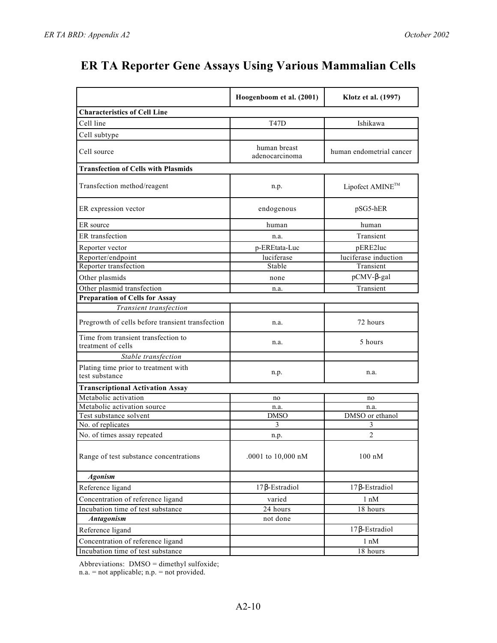|                                                           | Hoogenboom et al. (2001)       | Klotz et al. (1997)      |
|-----------------------------------------------------------|--------------------------------|--------------------------|
| <b>Characteristics of Cell Line</b>                       |                                |                          |
| Cell line                                                 | <b>T47D</b>                    | Ishikawa                 |
| Cell subtype                                              |                                |                          |
| Cell source                                               | human breast<br>adenocarcinoma | human endometrial cancer |
| <b>Transfection of Cells with Plasmids</b>                |                                |                          |
| Transfection method/reagent                               | n.p.                           | Lipofect AMINE™          |
| ER expression vector                                      | endogenous                     | pSG5-hER                 |
| ER source                                                 | human                          | human                    |
| ER transfection                                           | n.a.                           | Transient                |
| Reporter vector                                           | p-EREtata-Luc                  | pERE2luc                 |
| Reporter/endpoint                                         | luciferase                     | luciferase induction     |
| Reporter transfection                                     | Stable                         | Transient                |
| Other plasmids                                            | none                           | pCMV- -gal               |
| Other plasmid transfection                                | n.a.                           | Transient                |
| <b>Preparation of Cells for Assay</b>                     |                                |                          |
| Transient transfection                                    |                                |                          |
| Pregrowth of cells before transient transfection          | n.a.                           | 72 hours                 |
| Time from transient transfection to<br>treatment of cells | n.a.                           | 5 hours                  |
| Stable transfection                                       |                                |                          |
| Plating time prior to treatment with<br>test substance    | n.p.                           | n.a.                     |
| <b>Transcriptional Activation Assay</b>                   |                                |                          |
| Metabolic activation                                      | no                             | no                       |
| Metabolic activation source                               | n.a.                           | n.a.                     |
| Test substance solvent                                    | <b>DMSO</b>                    | DMSO or ethanol          |
| No. of replicates                                         | 3                              | 3                        |
| No. of times assay repeated                               | n.p.                           | 2                        |
| Range of test substance concentrations                    | .0001 to 10,000 nM             | $100$ nM                 |
| <b>Agonism</b>                                            |                                |                          |
| Reference ligand                                          | 17 -Estradiol                  | 17 -Estradiol            |
| Concentration of reference ligand                         | varied                         | $1 \text{ nM}$           |
| Incubation time of test substance                         | 24 hours                       | 18 hours                 |
| <b>Antagonism</b>                                         | not done                       |                          |
| Reference ligand                                          |                                | -Estradiol<br>17         |
| Concentration of reference ligand                         |                                | 1 nM                     |
| Incubation time of test substance                         |                                | 18 hours                 |

Abbreviations: DMSO = dimethyl sulfoxide;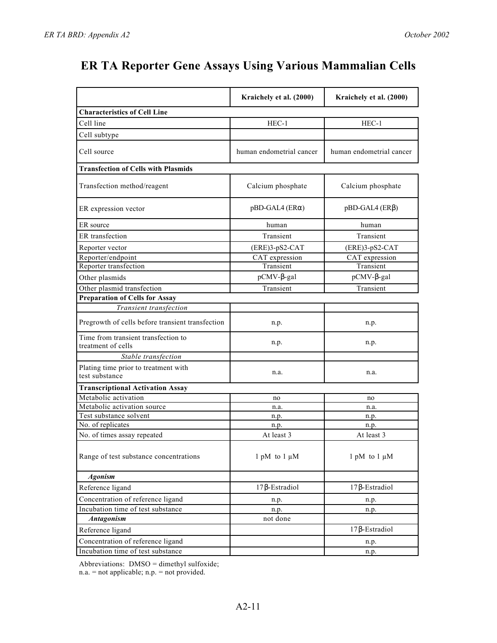|                                                           | Kraichely et al. (2000)  | Kraichely et al. (2000)  |
|-----------------------------------------------------------|--------------------------|--------------------------|
| <b>Characteristics of Cell Line</b>                       |                          |                          |
| Cell line                                                 | $HEC-1$                  | $HEC-1$                  |
| Cell subtype                                              |                          |                          |
|                                                           |                          |                          |
| Cell source                                               | human endometrial cancer | human endometrial cancer |
| <b>Transfection of Cells with Plasmids</b>                |                          |                          |
| Transfection method/reagent                               | Calcium phosphate        | Calcium phosphate        |
| ER expression vector                                      | pBD-GAL4 (ER)            | pBD-GAL4 (ER)            |
| ER source                                                 | human                    | human                    |
| ER transfection                                           | Transient                | Transient                |
| Reporter vector                                           | (ERE)3-pS2-CAT           | (ERE)3-pS2-CAT           |
| Reporter/endpoint                                         | CAT expression           | CAT expression           |
| Reporter transfection                                     | Transient                | Transient                |
| Other plasmids                                            | pCMV--gal                | pCMV--gal                |
| Other plasmid transfection                                | Transient                | Transient                |
| <b>Preparation of Cells for Assay</b>                     |                          |                          |
| Transient transfection                                    |                          |                          |
| Pregrowth of cells before transient transfection          | n.p.                     | n.p.                     |
| Time from transient transfection to<br>treatment of cells | n.p.                     | n.p.                     |
| Stable transfection                                       |                          |                          |
| Plating time prior to treatment with<br>test substance    | n.a.                     | n.a.                     |
| <b>Transcriptional Activation Assay</b>                   |                          |                          |
| Metabolic activation                                      | no                       | no                       |
| Metabolic activation source                               | n.a.                     | n.a.                     |
| Test substance solvent                                    | n.p.                     | n.p.                     |
| No. of replicates                                         | n.p.                     | n.p.                     |
| No. of times assay repeated                               | At least 3               | At least 3               |
| Range of test substance concentrations                    | $1$ pM to $1 \mu M$      | 1 pM to $1 \mu M$        |
| <b>Agonism</b>                                            |                          |                          |
| Reference ligand                                          | 17 -Estradiol            | 17 -Estradiol            |
| Concentration of reference ligand                         | n.p.                     | n.p.                     |
| Incubation time of test substance                         | n.p.                     | n.p.                     |
| <b>Antagonism</b>                                         | not done                 |                          |
| Reference ligand                                          |                          | 17<br>-Estradiol         |
| Concentration of reference ligand                         |                          | n.p.                     |
| Incubation time of test substance                         |                          | n.p.                     |

Abbreviations: DMSO = dimethyl sulfoxide;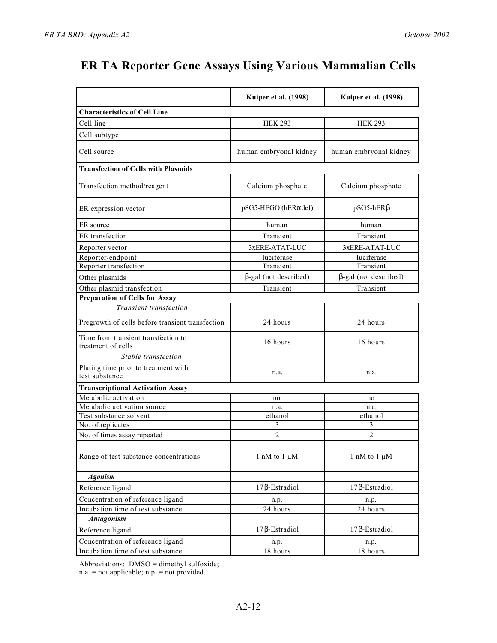|                                                           | Kuiper et al. (1998)   | Kuiper et al. (1998)   |
|-----------------------------------------------------------|------------------------|------------------------|
| <b>Characteristics of Cell Line</b>                       |                        |                        |
| Cell line                                                 | <b>HEK 293</b>         | <b>HEK 293</b>         |
| Cell subtype                                              |                        |                        |
| Cell source                                               | human embryonal kidney | human embryonal kidney |
| <b>Transfection of Cells with Plasmids</b>                |                        |                        |
| Transfection method/reagent                               | Calcium phosphate      | Calcium phosphate      |
| ER expression vector                                      | pSG5-HEGO (hER def)    | pSG5-hER               |
| ER source                                                 | human                  | human                  |
| ER transfection                                           | Transient              | Transient              |
| Reporter vector                                           | 3xERE-ATAT-LUC         | 3xERE-ATAT-LUC         |
| Reporter/endpoint                                         | luciferase             | luciferase             |
| Reporter transfection                                     | Transient              | Transient              |
| Other plasmids                                            | -gal (not described)   | -gal (not described)   |
| Other plasmid transfection                                | Transient              | Transient              |
| <b>Preparation of Cells for Assay</b>                     |                        |                        |
| Transient transfection                                    |                        |                        |
| Pregrowth of cells before transient transfection          | 24 hours               | 24 hours               |
| Time from transient transfection to<br>treatment of cells | 16 hours               | 16 hours               |
| Stable transfection                                       |                        |                        |
| Plating time prior to treatment with<br>test substance    | n.a.                   | n.a.                   |
| <b>Transcriptional Activation Assay</b>                   |                        |                        |
| Metabolic activation                                      | no                     | no                     |
| Metabolic activation source                               | n.a.                   | n.a.                   |
| Test substance solvent                                    | ethanol                | ethanol                |
| No. of replicates                                         | 3                      | 3                      |
| No. of times assay repeated                               | $\overline{2}$         | $\overline{c}$         |
| Range of test substance concentrations                    | 1 nM to 1 $\mu$ M      | 1 nM to 1 $\mu$ M      |
| <b>Agonism</b>                                            |                        |                        |
| Reference ligand                                          | 17 -Estradiol          | 17 -Estradiol          |
| Concentration of reference ligand                         | n.p.                   | n.p.                   |
| Incubation time of test substance                         | $\overline{24}$ hours  | 24 hours               |
| <b>Antagonism</b>                                         |                        |                        |
| Reference ligand                                          | -Estradiol<br>17       | 17 - Estradiol         |
| Concentration of reference ligand                         | n.p.                   | n.p.                   |
| Incubation time of test substance                         | 18 hours               | 18 hours               |

Abbreviations: DMSO = dimethyl sulfoxide;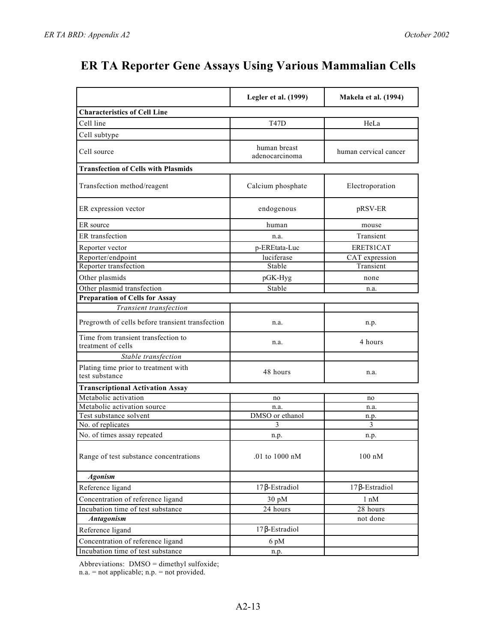|                                                           | Legler et al. (1999)           | <b>Makela et al. (1994)</b> |
|-----------------------------------------------------------|--------------------------------|-----------------------------|
| <b>Characteristics of Cell Line</b>                       |                                |                             |
| Cell line                                                 | <b>T47D</b>                    | HeLa                        |
| Cell subtype                                              |                                |                             |
| Cell source                                               | human breast<br>adenocarcinoma | human cervical cancer       |
| <b>Transfection of Cells with Plasmids</b>                |                                |                             |
| Transfection method/reagent                               | Calcium phosphate              | Electroporation             |
| ER expression vector                                      | endogenous                     | pRSV-ER                     |
| ER source                                                 | human                          | mouse                       |
| ER transfection                                           | n.a.                           | Transient                   |
| Reporter vector                                           | p-EREtata-Luc                  | ERET81CAT                   |
| Reporter/endpoint                                         | luciferase                     | CAT expression              |
| Reporter transfection                                     | Stable                         | Transient                   |
| Other plasmids                                            | pGK-Hyg                        | none                        |
| Other plasmid transfection                                | Stable                         | n.a.                        |
| <b>Preparation of Cells for Assay</b>                     |                                |                             |
| Transient transfection                                    |                                |                             |
| Pregrowth of cells before transient transfection          | n.a.                           | n.p.                        |
| Time from transient transfection to<br>treatment of cells | n.a.                           | 4 hours                     |
| Stable transfection                                       |                                |                             |
| Plating time prior to treatment with<br>test substance    | 48 hours                       | n.a.                        |
| <b>Transcriptional Activation Assay</b>                   |                                |                             |
| Metabolic activation                                      | no                             | no                          |
| Metabolic activation source                               | n.a.                           | n.a.                        |
| Test substance solvent                                    | DMSO or ethanol                | n.p.                        |
| No. of replicates                                         | 3                              | 3                           |
| No. of times assay repeated                               | n.p.                           | n.p.                        |
| Range of test substance concentrations                    | .01 to 1000 nM                 | $100$ nM                    |
| <b>Agonism</b>                                            |                                |                             |
| Reference ligand                                          | 17 -Estradiol                  | 17 -Estradiol               |
| Concentration of reference ligand                         | 30 pM                          | $1 \text{ nM}$              |
| Incubation time of test substance                         | 24 hours                       | 28 hours                    |
| <b>Antagonism</b>                                         |                                | not done                    |
| Reference ligand                                          | 17 -Estradiol                  |                             |
| Concentration of reference ligand                         | 6 pM                           |                             |
| Incubation time of test substance                         | n.p.                           |                             |

Abbreviations: DMSO = dimethyl sulfoxide;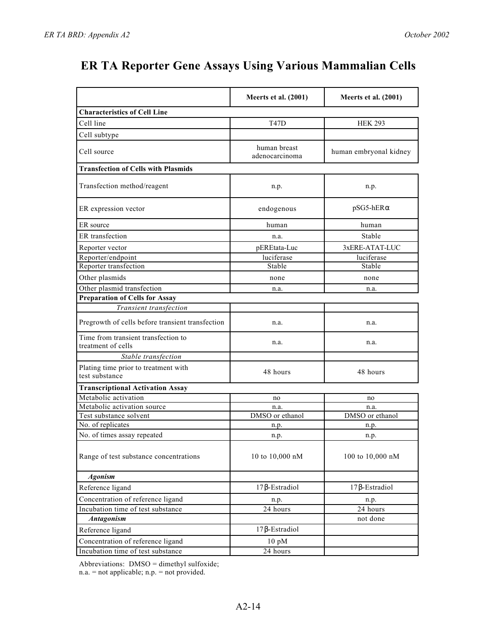|                                                           | Meerts et al. (2001)           | Meerts et al. (2001)   |
|-----------------------------------------------------------|--------------------------------|------------------------|
| <b>Characteristics of Cell Line</b>                       |                                |                        |
| Cell line                                                 | <b>T47D</b>                    | <b>HEK 293</b>         |
| Cell subtype                                              |                                |                        |
| Cell source                                               | human breast<br>adenocarcinoma | human embryonal kidney |
| <b>Transfection of Cells with Plasmids</b>                |                                |                        |
| Transfection method/reagent                               | n.p.                           | n.p.                   |
| ER expression vector                                      | endogenous                     | pSG5-hER               |
| ER source                                                 | human                          | human                  |
| ER transfection                                           | n.a.                           | Stable                 |
| Reporter vector                                           | pEREtata-Luc                   | 3xERE-ATAT-LUC         |
| Reporter/endpoint                                         | luciferase                     | luciferase             |
| Reporter transfection                                     | Stable                         | Stable                 |
| Other plasmids                                            | none                           | none                   |
| Other plasmid transfection                                | n.a.                           | n.a.                   |
| <b>Preparation of Cells for Assay</b>                     |                                |                        |
| Transient transfection                                    |                                |                        |
| Pregrowth of cells before transient transfection          | n.a.                           | n.a.                   |
| Time from transient transfection to<br>treatment of cells | n.a.                           | n.a.                   |
| Stable transfection                                       |                                |                        |
| Plating time prior to treatment with<br>test substance    | 48 hours                       | 48 hours               |
| <b>Transcriptional Activation Assay</b>                   |                                |                        |
| Metabolic activation                                      | no                             | no                     |
| Metabolic activation source                               | n.a.                           | n.a.                   |
| Test substance solvent                                    | DMSO or ethanol                | DMSO or ethanol        |
| No. of replicates                                         | n.p.                           | n.p.                   |
| No. of times assay repeated                               | n.p.                           | n.p.                   |
| Range of test substance concentrations                    | 10 to 10,000 nM                | 100 to 10,000 nM       |
| <b>Agonism</b>                                            |                                |                        |
| Reference ligand                                          | 17 -Estradiol                  | -Estradiol<br>17       |
| Concentration of reference ligand                         | n.p.                           | n.p.                   |
| Incubation time of test substance                         | 24 hours                       | 24 hours               |
| <b>Antagonism</b>                                         |                                | not done               |
| Reference ligand                                          | 17 -Estradiol                  |                        |
| Concentration of reference ligand                         | $10 \text{ pM}$                |                        |
| Incubation time of test substance                         | 24 hours                       |                        |

Abbreviations: DMSO = dimethyl sulfoxide;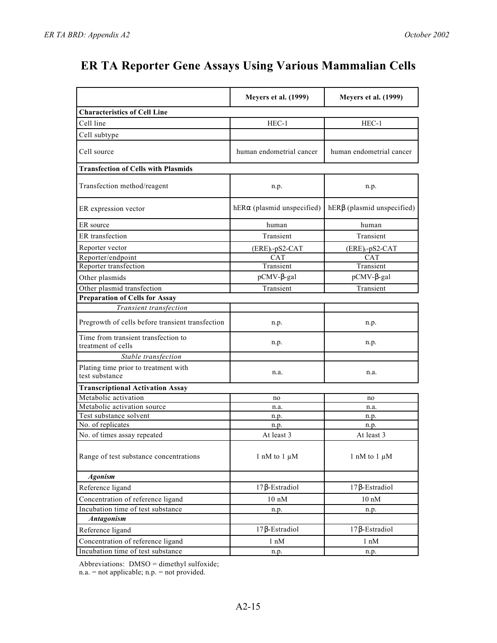|                                                           | <b>Meyers et al. (1999)</b>   | <b>Meyers et al. (1999)</b>   |
|-----------------------------------------------------------|-------------------------------|-------------------------------|
| <b>Characteristics of Cell Line</b>                       |                               |                               |
| Cell line                                                 | $HEC-1$                       | HEC-1                         |
| Cell subtype                                              |                               |                               |
| Cell source                                               | human endometrial cancer      | human endometrial cancer      |
| <b>Transfection of Cells with Plasmids</b>                |                               |                               |
| Transfection method/reagent                               | n.p.                          | n.p.                          |
| ER expression vector                                      | hER<br>(plasmid unspecified)  | hER (plasmid unspecified)     |
| ER source                                                 | human                         | human                         |
| ER transfection                                           | Transient                     | Transient                     |
| Reporter vector                                           | $(ERE)$ <sub>3</sub> -pS2-CAT | $(ERE)$ <sub>3</sub> -pS2-CAT |
| Reporter/endpoint                                         | <b>CAT</b>                    | <b>CAT</b>                    |
| Reporter transfection                                     | Transient                     | Transient                     |
| Other plasmids                                            | pCMV--gal                     | pCMV- -gal                    |
| Other plasmid transfection                                | Transient                     | Transient                     |
| <b>Preparation of Cells for Assay</b>                     |                               |                               |
| Transient transfection                                    |                               |                               |
| Pregrowth of cells before transient transfection          | n.p.                          | n.p.                          |
| Time from transient transfection to<br>treatment of cells | n.p.                          | n.p.                          |
| Stable transfection                                       |                               |                               |
| Plating time prior to treatment with<br>test substance    | n.a.                          | n.a.                          |
| <b>Transcriptional Activation Assay</b>                   |                               |                               |
| Metabolic activation                                      | no                            | no                            |
| Metabolic activation source                               | n.a.                          | n.a.                          |
| Test substance solvent                                    | n.p.                          | n.p.                          |
| No. of replicates                                         | n.p.                          | n.p.                          |
| No. of times assay repeated                               | At least 3                    | At least 3                    |
| Range of test substance concentrations                    | 1 nM to 1 $\mu$ M             | 1 nM to 1 $\mu$ M             |
| <b>Agonism</b>                                            |                               |                               |
| Reference ligand                                          | 17 -Estradiol                 | 17 -Estradiol                 |
| Concentration of reference ligand                         | $10 \text{ nM}$               | $10~\mathrm{nM}$              |
| Incubation time of test substance                         | n.p.                          | n.p.                          |
| Antagonism                                                |                               |                               |
| Reference ligand                                          | -Estradiol<br>17              | -Estradiol<br>17              |
| Concentration of reference ligand                         | $1 \text{ nM}$                | $1 \text{ nM}$                |
| Incubation time of test substance                         | n.p.                          | n.p.                          |

Abbreviations: DMSO = dimethyl sulfoxide;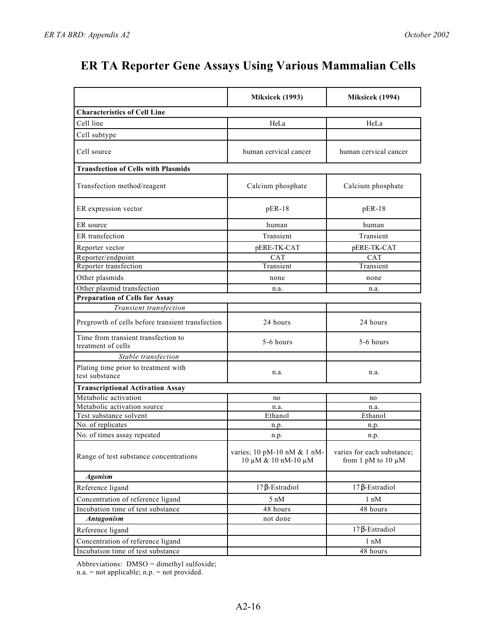|                                                           | Miksicek (1993)                                    | Miksicek (1994)                                       |
|-----------------------------------------------------------|----------------------------------------------------|-------------------------------------------------------|
| <b>Characteristics of Cell Line</b>                       |                                                    |                                                       |
| Cell line                                                 | HeLa                                               | HeLa                                                  |
| Cell subtype                                              |                                                    |                                                       |
| Cell source                                               | human cervical cancer                              | human cervical cancer                                 |
| <b>Transfection of Cells with Plasmids</b>                |                                                    |                                                       |
| Transfection method/reagent                               | Calcium phosphate                                  | Calcium phosphate                                     |
| ER expression vector                                      | $pER-18$                                           | $pER-18$                                              |
| ER source                                                 | human                                              | human                                                 |
| ER transfection                                           | Transient                                          | Transient                                             |
| Reporter vector                                           | pERE-TK-CAT                                        | pERE-TK-CAT                                           |
| Reporter/endpoint                                         | <b>CAT</b>                                         | <b>CAT</b>                                            |
| Reporter transfection                                     | Transient                                          | Transient                                             |
| Other plasmids                                            | none                                               | none                                                  |
| Other plasmid transfection                                | n.a.                                               | n.a.                                                  |
| <b>Preparation of Cells for Assay</b>                     |                                                    |                                                       |
| Transient transfection                                    |                                                    |                                                       |
| Pregrowth of cells before transient transfection          | 24 hours                                           | 24 hours                                              |
| Time from transient transfection to<br>treatment of cells | 5-6 hours                                          | 5-6 hours                                             |
| Stable transfection                                       |                                                    |                                                       |
| Plating time prior to treatment with<br>test substance    | n.a.                                               | n.a.                                                  |
| <b>Transcriptional Activation Assay</b>                   |                                                    |                                                       |
| Metabolic activation                                      | no                                                 | no                                                    |
| Metabolic activation source                               | n.a.                                               | n.a.                                                  |
| Test substance solvent                                    | Ethanol                                            | Ethanol                                               |
| No. of replicates                                         | n.p.                                               | n.p.                                                  |
| No. of times assay repeated                               | n.p.                                               | n.p.                                                  |
| Range of test substance concentrations                    | varies; 10 pM-10 nM & 1 nM-<br>10 μM & 10 nM-10 μM | varies for each substance;<br>from 1 pM to 10 $\mu$ M |
| <b>Agonism</b>                                            |                                                    |                                                       |
| Reference ligand                                          | 17 -Estradiol                                      | 17 -Estradiol                                         |
| Concentration of reference ligand                         | $5 \text{ nM}$                                     | $1 \text{ nM}$                                        |
| Incubation time of test substance                         | 48 hours                                           | 48 hours                                              |
| <b>Antagonism</b>                                         | not done                                           |                                                       |
| Reference ligand                                          |                                                    | 17 -Estradiol                                         |
| Concentration of reference ligand                         |                                                    | $1 \text{ nM}$                                        |
| Incubation time of test substance                         |                                                    | 48 hours                                              |

Abbreviations: DMSO = dimethyl sulfoxide;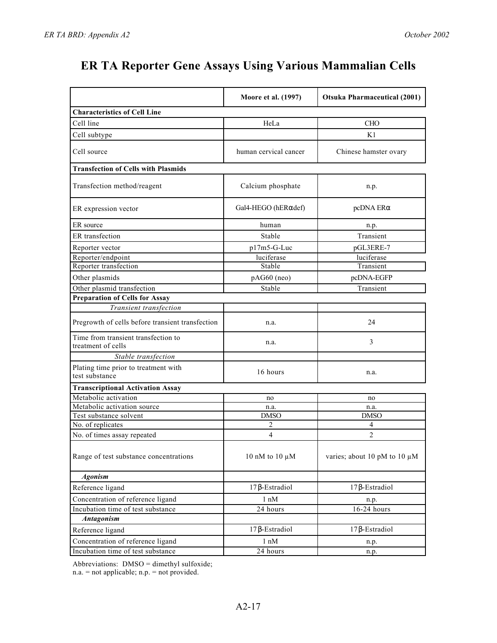|                                                           | Moore et al. (1997)   | <b>Otsuka Pharmaceutical (2001)</b> |
|-----------------------------------------------------------|-----------------------|-------------------------------------|
| <b>Characteristics of Cell Line</b>                       |                       |                                     |
| Cell line                                                 | HeLa                  | <b>CHO</b>                          |
| Cell subtype                                              |                       | K1                                  |
| Cell source                                               | human cervical cancer | Chinese hamster ovary               |
| <b>Transfection of Cells with Plasmids</b>                |                       |                                     |
| Transfection method/reagent                               | Calcium phosphate     | n.p.                                |
| ER expression vector                                      | Gal4-HEGO (hER def)   | pcDNA ER                            |
| ER source                                                 | human                 | n.p.                                |
| ER transfection                                           | Stable                | Transient                           |
| Reporter vector                                           | $p17m5-G-Luc$         | pGL3ERE-7                           |
| Reporter/endpoint                                         | luciferase            | luciferase                          |
| Reporter transfection                                     | Stable                | Transient                           |
| Other plasmids                                            | pAG60 (neo)           | pcDNA-EGFP                          |
| Other plasmid transfection                                | Stable                | Transient                           |
| <b>Preparation of Cells for Assay</b>                     |                       |                                     |
| Transient transfection                                    |                       |                                     |
| Pregrowth of cells before transient transfection          | n.a.                  | 24                                  |
| Time from transient transfection to<br>treatment of cells | n.a.                  | 3                                   |
| Stable transfection                                       |                       |                                     |
| Plating time prior to treatment with<br>test substance    | 16 hours              | n.a.                                |
| <b>Transcriptional Activation Assay</b>                   |                       |                                     |
| Metabolic activation                                      | no                    | no                                  |
| Metabolic activation source                               | n.a.                  | n.a.                                |
| Test substance solvent                                    | <b>DMSO</b>           | <b>DMSO</b>                         |
| No. of replicates                                         | 2                     | 4                                   |
| No. of times assay repeated                               | 4                     | $\overline{2}$                      |
| Range of test substance concentrations                    | 10 nM to 10 μM        | varies; about 10 pM to 10 µM        |
| <b>Agonism</b>                                            |                       |                                     |
| Reference ligand                                          | 17 -Estradiol         | 17 -Estradiol                       |
| Concentration of reference ligand                         | $1 \text{ nM}$        | n.p.                                |
| Incubation time of test substance                         | 24 hours              | 16-24 hours                         |
| <b>Antagonism</b>                                         |                       |                                     |
| Reference ligand                                          | -Estradiol<br>17      | 17 -Estradiol                       |
| Concentration of reference ligand                         | $1 \text{ nM}$        | n.p.                                |
| Incubation time of test substance                         | 24 hours              | n.p.                                |

Abbreviations: DMSO = dimethyl sulfoxide;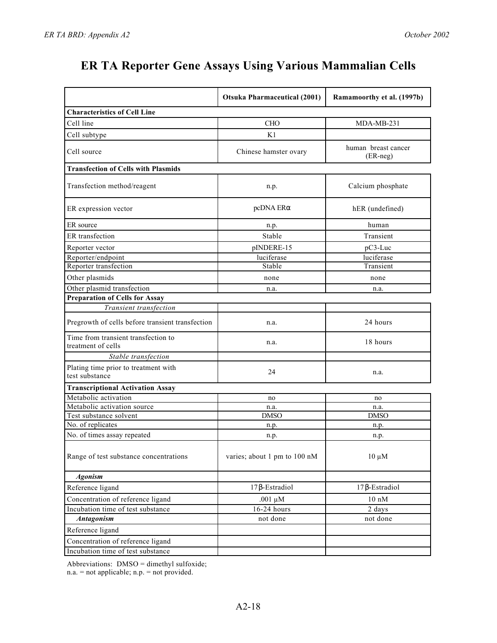|                                                           | <b>Otsuka Pharmaceutical (2001)</b> | Ramamoorthy et al. (1997b)      |
|-----------------------------------------------------------|-------------------------------------|---------------------------------|
| <b>Characteristics of Cell Line</b>                       |                                     |                                 |
| Cell line                                                 | <b>CHO</b>                          | MDA-MB-231                      |
| Cell subtype                                              | K1                                  |                                 |
| Cell source                                               | Chinese hamster ovary               | human breast cancer<br>(ER-neg) |
| <b>Transfection of Cells with Plasmids</b>                |                                     |                                 |
| Transfection method/reagent                               | n.p.                                | Calcium phosphate               |
| ER expression vector                                      | pcDNA ER                            | hER (undefined)                 |
| ER source                                                 | n.p.                                | human                           |
| ER transfection                                           | Stable                              | Transient                       |
| Reporter vector                                           | pINDERE-15                          | $pC3-Luc$                       |
| Reporter/endpoint                                         | luciferase                          | luciferase                      |
| Reporter transfection                                     | Stable                              | Transient                       |
| Other plasmids                                            | none                                | none                            |
| Other plasmid transfection                                | n.a.                                | n.a.                            |
| <b>Preparation of Cells for Assay</b>                     |                                     |                                 |
| Transient transfection                                    |                                     |                                 |
| Pregrowth of cells before transient transfection          | n.a.                                | 24 hours                        |
| Time from transient transfection to<br>treatment of cells | n.a.                                | 18 hours                        |
| Stable transfection                                       |                                     |                                 |
| Plating time prior to treatment with<br>test substance    | 24                                  | n.a.                            |
| <b>Transcriptional Activation Assay</b>                   |                                     |                                 |
| Metabolic activation                                      | no                                  | no                              |
| Metabolic activation source                               | n.a.                                | n.a.                            |
| Test substance solvent                                    | <b>DMSO</b>                         | <b>DMSO</b>                     |
| No. of replicates                                         | n.p.                                | n.p.                            |
| No. of times assay repeated                               | n.p.                                | n.p.                            |
| Range of test substance concentrations                    | varies; about 1 pm to 100 nM        | $10 \mu M$                      |
| <b>Agonism</b>                                            |                                     |                                 |
| Reference ligand                                          | 17 -Estradiol                       | 17 -Estradiol                   |
| Concentration of reference ligand                         | .001 $\mu$ M                        | $10 \text{ nM}$                 |
| Incubation time of test substance                         | 16-24 hours                         | 2 days                          |
| <b>Antagonism</b>                                         | not done                            | not done                        |
| Reference ligand                                          |                                     |                                 |
| Concentration of reference ligand                         |                                     |                                 |
| Incubation time of test substance                         |                                     |                                 |

Abbreviations: DMSO = dimethyl sulfoxide;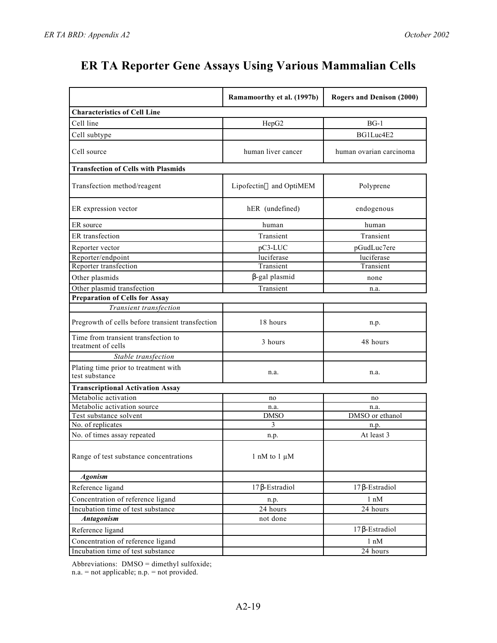|                                                           | Ramamoorthy et al. (1997b) | <b>Rogers and Denison (2000)</b> |
|-----------------------------------------------------------|----------------------------|----------------------------------|
| <b>Characteristics of Cell Line</b>                       |                            |                                  |
| Cell line                                                 | HepG <sub>2</sub>          | $BG-1$                           |
| Cell subtype                                              |                            | BG1Luc4E2                        |
| Cell source                                               | human liver cancer         | human ovarian carcinoma          |
| <b>Transfection of Cells with Plasmids</b>                |                            |                                  |
| Transfection method/reagent                               | and OptiMEM<br>Lipofectin  | Polyprene                        |
| ER expression vector                                      | hER (undefined)            | endogenous                       |
| ER source                                                 | human                      | human                            |
| ER transfection                                           | Transient                  | Transient                        |
| Reporter vector                                           | pC3-LUC                    | pGudLuc7ere                      |
| Reporter/endpoint                                         | luciferase                 | luciferase                       |
| Reporter transfection                                     | Transient                  | Transient                        |
| Other plasmids                                            | -gal plasmid               | none                             |
| Other plasmid transfection                                | Transient                  | n.a.                             |
| <b>Preparation of Cells for Assay</b>                     |                            |                                  |
| Transient transfection                                    |                            |                                  |
| Pregrowth of cells before transient transfection          | 18 hours                   | n.p.                             |
| Time from transient transfection to<br>treatment of cells | 3 hours                    | 48 hours                         |
| Stable transfection                                       |                            |                                  |
| Plating time prior to treatment with<br>test substance    | n.a.                       | n.a.                             |
| <b>Transcriptional Activation Assay</b>                   |                            |                                  |
| Metabolic activation                                      | no                         | no                               |
| Metabolic activation source                               | n.a.                       | n.a.                             |
| Test substance solvent                                    | <b>DMSO</b>                | DMSO or ethanol                  |
| No. of replicates                                         | 3                          | n.p.                             |
| No. of times assay repeated                               | n.p.                       | At least 3                       |
| Range of test substance concentrations                    | 1 nM to 1 $\mu$ M          |                                  |
| <b>Agonism</b>                                            |                            |                                  |
| Reference ligand                                          | 17 -Estradiol              | 17 -Estradiol                    |
| Concentration of reference ligand                         | n.p.                       | $1 \text{ nM}$                   |
| Incubation time of test substance                         | 24 hours                   | 24 hours                         |
| <b>Antagonism</b>                                         | not done                   |                                  |
| Reference ligand                                          |                            | 17 -Estradiol                    |
| Concentration of reference ligand                         |                            | 1 nM                             |
| Incubation time of test substance                         |                            | 24 hours                         |

Abbreviations: DMSO = dimethyl sulfoxide;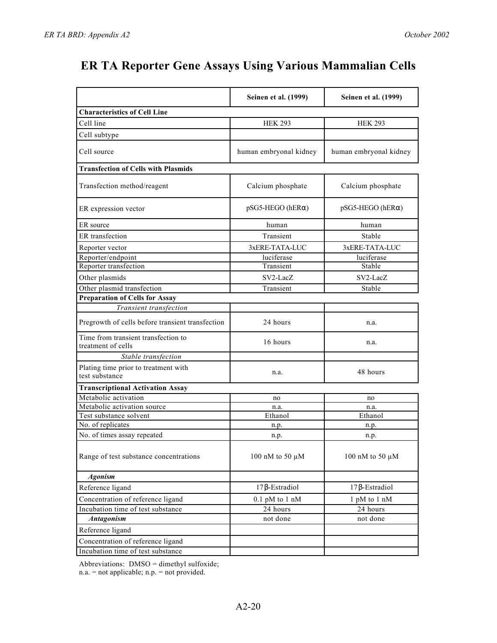|                                                           | Seinen et al. (1999)   | Seinen et al. (1999)   |
|-----------------------------------------------------------|------------------------|------------------------|
| <b>Characteristics of Cell Line</b>                       |                        |                        |
| Cell line                                                 | <b>HEK 293</b>         | <b>HEK 293</b>         |
| Cell subtype                                              |                        |                        |
| Cell source                                               | human embryonal kidney | human embryonal kidney |
| <b>Transfection of Cells with Plasmids</b>                |                        |                        |
| Transfection method/reagent                               | Calcium phosphate      | Calcium phosphate      |
| ER expression vector                                      | pSG5-HEGO (hER)        | pSG5-HEGO (hER)        |
| ER source                                                 | human                  | human                  |
| ER transfection                                           | Transient              | Stable                 |
| Reporter vector                                           | 3xERE-TATA-LUC         | 3xERE-TATA-LUC         |
| Reporter/endpoint                                         | luciferase             | luciferase             |
| Reporter transfection                                     | Transient              | Stable                 |
| Other plasmids                                            | SV2-LacZ               | SV2-LacZ               |
| Other plasmid transfection                                | Transient              | Stable                 |
| <b>Preparation of Cells for Assay</b>                     |                        |                        |
| Transient transfection                                    |                        |                        |
| Pregrowth of cells before transient transfection          | 24 hours               | n.a.                   |
| Time from transient transfection to<br>treatment of cells | 16 hours               | n.a.                   |
| Stable transfection                                       |                        |                        |
| Plating time prior to treatment with<br>test substance    | n.a.                   | 48 hours               |
| <b>Transcriptional Activation Assay</b>                   |                        |                        |
| Metabolic activation                                      | no                     | no                     |
| Metabolic activation source                               | n.a.                   | n.a.                   |
| Test substance solvent                                    | Ethanol                | Ethanol                |
| No. of replicates                                         | n.p.                   | n.p.                   |
| No. of times assay repeated                               | n.p.                   | n.p.                   |
| Range of test substance concentrations                    | 100 nM to 50 $\mu$ M   | 100 nM to 50 $\mu$ M   |
| <b>Agonism</b>                                            |                        |                        |
| Reference ligand                                          | 17 -Estradiol          | 17 -Estradiol          |
| Concentration of reference ligand                         | $0.1$ pM to $1$ nM     | 1 pM to 1 nM           |
| Incubation time of test substance                         | 24 hours               | 24 hours               |
| Antagonism                                                | not done               | not done               |
| Reference ligand                                          |                        |                        |
| Concentration of reference ligand                         |                        |                        |
| Incubation time of test substance                         |                        |                        |

Abbreviations: DMSO = dimethyl sulfoxide;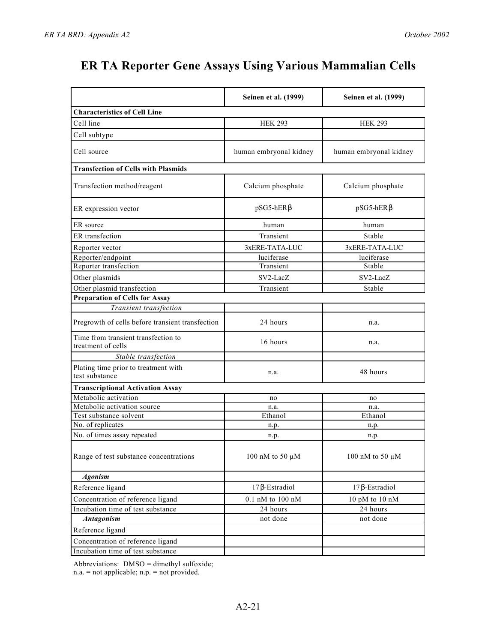|                                                           | Seinen et al. (1999)   | Seinen et al. (1999)   |
|-----------------------------------------------------------|------------------------|------------------------|
| <b>Characteristics of Cell Line</b>                       |                        |                        |
| Cell line                                                 | <b>HEK 293</b>         | <b>HEK 293</b>         |
| Cell subtype                                              |                        |                        |
| Cell source                                               | human embryonal kidney | human embryonal kidney |
| <b>Transfection of Cells with Plasmids</b>                |                        |                        |
| Transfection method/reagent                               | Calcium phosphate      | Calcium phosphate      |
| ER expression vector                                      | pSG5-hER               | pSG5-hER               |
| ER source                                                 | human                  | human                  |
| ER transfection                                           | Transient              | Stable                 |
| Reporter vector                                           | 3xERE-TATA-LUC         | 3xERE-TATA-LUC         |
| Reporter/endpoint                                         | luciferase             | luciferase             |
| Reporter transfection                                     | Transient              | Stable                 |
| Other plasmids                                            | SV2-LacZ               | SV2-LacZ               |
| Other plasmid transfection                                | Transient              | Stable                 |
| <b>Preparation of Cells for Assay</b>                     |                        |                        |
| Transient transfection                                    |                        |                        |
| Pregrowth of cells before transient transfection          | 24 hours               | n.a.                   |
| Time from transient transfection to<br>treatment of cells | 16 hours               | n.a.                   |
| Stable transfection                                       |                        |                        |
| Plating time prior to treatment with<br>test substance    | n.a.                   | 48 hours               |
| <b>Transcriptional Activation Assay</b>                   |                        |                        |
| Metabolic activation                                      | no                     | no                     |
| Metabolic activation source                               | n.a.                   | n.a.                   |
| Test substance solvent                                    | Ethanol                | Ethanol                |
| No. of replicates                                         | n.p.                   | n.p.                   |
| No. of times assay repeated                               | n.p.                   | n.p.                   |
| Range of test substance concentrations                    | 100 nM to 50 $\mu$ M   | 100 nM to 50 µM        |
| <b>Agonism</b>                                            |                        |                        |
| Reference ligand                                          | 17 -Estradiol          | 17 -Estradiol          |
| Concentration of reference ligand                         | $0.1$ nM to $100$ nM   | 10 pM to 10 nM         |
| Incubation time of test substance                         | 24 hours               | 24 hours               |
| <b>Antagonism</b>                                         | not done               | not done               |
| Reference ligand                                          |                        |                        |
| Concentration of reference ligand                         |                        |                        |
| Incubation time of test substance                         |                        |                        |

Abbreviations: DMSO = dimethyl sulfoxide;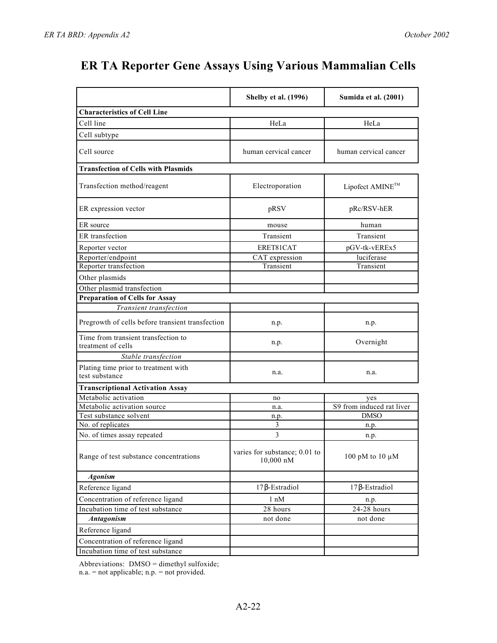|                                                           | <b>Shelby et al. (1996)</b>                          | Sumida et al. (2001)      |
|-----------------------------------------------------------|------------------------------------------------------|---------------------------|
| <b>Characteristics of Cell Line</b>                       |                                                      |                           |
| Cell line                                                 | HeLa                                                 | HeLa                      |
| Cell subtype                                              |                                                      |                           |
| Cell source                                               | human cervical cancer                                | human cervical cancer     |
| <b>Transfection of Cells with Plasmids</b>                |                                                      |                           |
| Transfection method/reagent                               | Electroporation                                      | Lipofect AMINE™           |
| ER expression vector                                      | pRSV                                                 | pRc/RSV-hER               |
| ER source                                                 | mouse                                                | human                     |
| ER transfection                                           | Transient                                            | Transient                 |
| Reporter vector                                           | ERET81CAT                                            | pGV-tk-vEREx5             |
| Reporter/endpoint                                         | CAT expression                                       | luciferase                |
| Reporter transfection                                     | Transient                                            | Transient                 |
| Other plasmids                                            |                                                      |                           |
| Other plasmid transfection                                |                                                      |                           |
| <b>Preparation of Cells for Assay</b>                     |                                                      |                           |
| Transient transfection                                    |                                                      |                           |
| Pregrowth of cells before transient transfection          | n.p.                                                 | n.p.                      |
| Time from transient transfection to<br>treatment of cells | n.p.                                                 | Overnight                 |
| Stable transfection                                       |                                                      |                           |
| Plating time prior to treatment with<br>test substance    | n.a.                                                 | n.a.                      |
| <b>Transcriptional Activation Assay</b>                   |                                                      |                           |
| Metabolic activation                                      | no                                                   | yes                       |
| Metabolic activation source                               | n.a.                                                 | S9 from induced rat liver |
| Test substance solvent                                    | n.p.                                                 | <b>DMSO</b>               |
| No. of replicates                                         | 3                                                    | n.p.                      |
| No. of times assay repeated                               | 3                                                    | n.p.                      |
| Range of test substance concentrations                    | varies for substance; 0.01 to<br>$10,000 \text{ nM}$ | 100 pM to 10 $\mu$ M      |
| <b>Agonism</b>                                            |                                                      |                           |
| Reference ligand                                          | 17 -Estradiol                                        | 17 -Estradiol             |
| Concentration of reference ligand                         | $1 \text{ nM}$                                       | n.p.                      |
| Incubation time of test substance                         | 28 hours                                             | 24-28 hours               |
| <b>Antagonism</b>                                         | not done                                             | not done                  |
| Reference ligand                                          |                                                      |                           |
| Concentration of reference ligand                         |                                                      |                           |
| Incubation time of test substance                         |                                                      |                           |

Abbreviations: DMSO = dimethyl sulfoxide;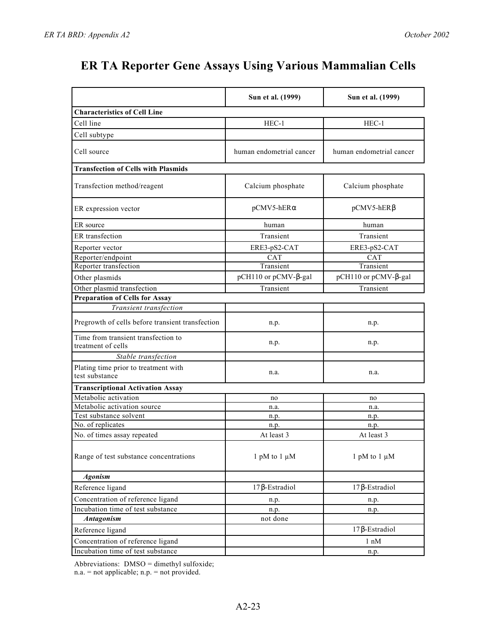|                                                           | Sun et al. (1999)        | Sun et al. (1999)        |
|-----------------------------------------------------------|--------------------------|--------------------------|
| <b>Characteristics of Cell Line</b>                       |                          |                          |
| Cell line                                                 | $HEC-1$                  | $HEC-1$                  |
| Cell subtype                                              |                          |                          |
| Cell source                                               | human endometrial cancer | human endometrial cancer |
| <b>Transfection of Cells with Plasmids</b>                |                          |                          |
| Transfection method/reagent                               | Calcium phosphate        | Calcium phosphate        |
| ER expression vector                                      | pCMV5-hER                | pCMV5-hER                |
| ER source                                                 | human                    | human                    |
| ER transfection                                           | Transient                | Transient                |
| Reporter vector                                           | ERE3-pS2-CAT             | ERE3-pS2-CAT             |
| Reporter/endpoint                                         | $\overline{\text{CAT}}$  | <b>CAT</b>               |
| Reporter transfection                                     | Transient                | Transient                |
| Other plasmids                                            | pCH110 or pCMV- -gal     | pCH110 or pCMV- -gal     |
| Other plasmid transfection                                | Transient                | Transient                |
| <b>Preparation of Cells for Assay</b>                     |                          |                          |
| Transient transfection                                    |                          |                          |
| Pregrowth of cells before transient transfection          | n.p.                     | n.p.                     |
| Time from transient transfection to<br>treatment of cells | n.p.                     | n.p.                     |
| Stable transfection                                       |                          |                          |
| Plating time prior to treatment with<br>test substance    | n.a.                     | n.a.                     |
| <b>Transcriptional Activation Assay</b>                   |                          |                          |
| Metabolic activation                                      | no                       | no                       |
| Metabolic activation source                               | n.a.                     | n.a.                     |
| Test substance solvent                                    | n.p.                     | n.p.                     |
| No. of replicates                                         | n.p.                     | n.p.                     |
| No. of times assay repeated                               | At least 3               | At least 3               |
| Range of test substance concentrations                    | 1 pM to 1 $\mu$ M        | 1 pM to 1 $\mu$ M        |
| <b>Agonism</b>                                            |                          |                          |
| Reference ligand                                          | 17 -Estradiol            | 17 -Estradiol            |
| Concentration of reference ligand                         | n.p.                     | n.p.                     |
| Incubation time of test substance                         | n.p.                     | n.p.                     |
| <b>Antagonism</b>                                         | not done                 |                          |
| Reference ligand                                          |                          | -Estradiol<br>17         |
| Concentration of reference ligand                         |                          | 1 nM                     |
| Incubation time of test substance                         |                          | n.p.                     |

Abbreviations: DMSO = dimethyl sulfoxide;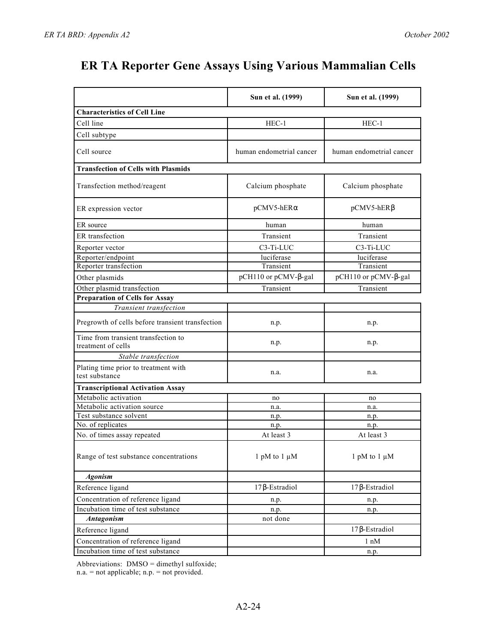|                                                           | Sun et al. (1999)        | Sun et al. (1999)        |
|-----------------------------------------------------------|--------------------------|--------------------------|
| <b>Characteristics of Cell Line</b>                       |                          |                          |
| Cell line                                                 | $HEC-1$                  | $HEC-1$                  |
| Cell subtype                                              |                          |                          |
| Cell source                                               | human endometrial cancer | human endometrial cancer |
| <b>Transfection of Cells with Plasmids</b>                |                          |                          |
| Transfection method/reagent                               | Calcium phosphate        | Calcium phosphate        |
| ER expression vector                                      | pCMV5-hER                | pCMV5-hER                |
| ER source                                                 | human                    | human                    |
| ER transfection                                           | Transient                | Transient                |
| Reporter vector                                           | C3-Ti-LUC                | C3-Ti-LUC                |
| Reporter/endpoint                                         | luciferase               | luciferase               |
| Reporter transfection                                     | Transient                | Transient                |
| Other plasmids                                            | pCH110 or pCMV- -gal     | pCH110 or pCMV- -gal     |
| Other plasmid transfection                                | Transient                | Transient                |
| <b>Preparation of Cells for Assay</b>                     |                          |                          |
| Transient transfection                                    |                          |                          |
| Pregrowth of cells before transient transfection          | n.p.                     | n.p.                     |
| Time from transient transfection to<br>treatment of cells | n.p.                     | n.p.                     |
| Stable transfection                                       |                          |                          |
| Plating time prior to treatment with<br>test substance    | n.a.                     | n.a.                     |
| <b>Transcriptional Activation Assay</b>                   |                          |                          |
| Metabolic activation                                      | no                       | no                       |
| Metabolic activation source                               | n.a.                     | n.a.                     |
| Test substance solvent                                    | n.p.                     | n.p.                     |
| No. of replicates                                         | n.p.                     | n.p.                     |
| No. of times assay repeated                               | At least 3               | At least 3               |
| Range of test substance concentrations                    | 1 pM to 1 $\mu$ M        | 1 pM to 1 $\mu$ M        |
| <b>Agonism</b>                                            |                          |                          |
| Reference ligand                                          | 17 -Estradiol            | 17 -Estradiol            |
| Concentration of reference ligand                         | n.p.                     | n.p.                     |
| Incubation time of test substance                         | n.p.                     | n.p.                     |
| <b>Antagonism</b>                                         | not done                 |                          |
| Reference ligand                                          |                          | 17 -Estradiol            |
| Concentration of reference ligand                         |                          | $1 \text{ nM}$           |
| Incubation time of test substance                         |                          | n.p.                     |

Abbreviations: DMSO = dimethyl sulfoxide;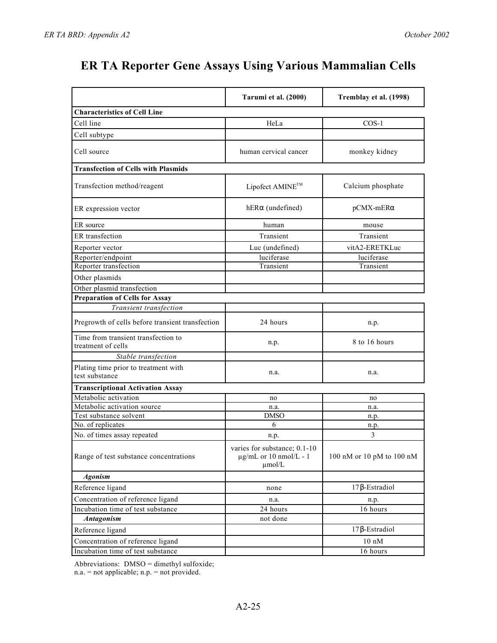|                                                           | Tarumi et al. (2000)                                                       | Tremblay et al. (1998)    |
|-----------------------------------------------------------|----------------------------------------------------------------------------|---------------------------|
| <b>Characteristics of Cell Line</b>                       |                                                                            |                           |
| Cell line                                                 | HeLa                                                                       | $COS-1$                   |
| Cell subtype                                              |                                                                            |                           |
| Cell source                                               | human cervical cancer                                                      | monkey kidney             |
| <b>Transfection of Cells with Plasmids</b>                |                                                                            |                           |
| Transfection method/reagent                               | Lipofect AMINE™                                                            | Calcium phosphate         |
| ER expression vector                                      | hER (undefined)                                                            | pCMX-mER                  |
| ER source                                                 | human                                                                      | mouse                     |
| ER transfection                                           | Transient                                                                  | Transient                 |
| Reporter vector                                           | Luc (undefined)                                                            | vitA2-ERETKLuc            |
| Reporter/endpoint                                         | luciferase                                                                 | luciferase                |
| Reporter transfection                                     | Transient                                                                  | Transient                 |
| Other plasmids                                            |                                                                            |                           |
| Other plasmid transfection                                |                                                                            |                           |
| <b>Preparation of Cells for Assay</b>                     |                                                                            |                           |
| Transient transfection                                    |                                                                            |                           |
| Pregrowth of cells before transient transfection          | 24 hours                                                                   | n.p.                      |
| Time from transient transfection to<br>treatment of cells | n.p.                                                                       | 8 to 16 hours             |
| Stable transfection                                       |                                                                            |                           |
| Plating time prior to treatment with<br>test substance    | n.a.                                                                       | n.a.                      |
| <b>Transcriptional Activation Assay</b>                   |                                                                            |                           |
| Metabolic activation                                      | no                                                                         | no                        |
| Metabolic activation source                               | n.a.                                                                       | n.a.                      |
| Test substance solvent                                    | <b>DMSO</b>                                                                | n.p.                      |
| No. of replicates                                         | 6                                                                          | n.p.                      |
| No. of times assay repeated                               | n.p.                                                                       | 3                         |
| Range of test substance concentrations                    | varies for substance: 0.1-10<br>$\mu$ g/mL or 10 nmol/L - 1<br>$\mu$ mol/L | 100 nM or 10 pM to 100 nM |
| <b>Agonism</b>                                            |                                                                            |                           |
| Reference ligand                                          | none                                                                       | 17 -Estradiol             |
| Concentration of reference ligand                         | n.a.                                                                       | n.p.                      |
| Incubation time of test substance                         | $\overline{2}4$ hours                                                      | 16 hours                  |
| <b>Antagonism</b>                                         | not done                                                                   |                           |
| Reference ligand                                          |                                                                            | 17 -Estradiol             |
| Concentration of reference ligand                         |                                                                            | $10 \text{ nM}$           |
| Incubation time of test substance                         |                                                                            | 16 hours                  |

Abbreviations: DMSO = dimethyl sulfoxide;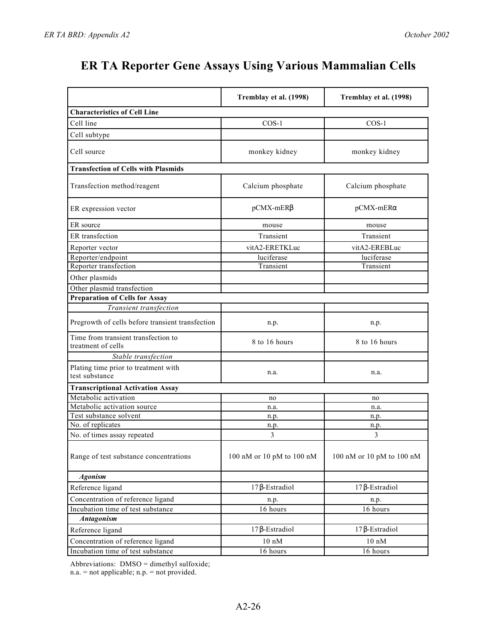|                                                           | Tremblay et al. (1998)    | Tremblay et al. (1998)    |
|-----------------------------------------------------------|---------------------------|---------------------------|
| <b>Characteristics of Cell Line</b>                       |                           |                           |
| Cell line                                                 | $COS-1$                   | $COS-1$                   |
| Cell subtype                                              |                           |                           |
|                                                           |                           |                           |
| Cell source                                               | monkey kidney             | monkey kidney             |
| <b>Transfection of Cells with Plasmids</b>                |                           |                           |
| Transfection method/reagent                               | Calcium phosphate         | Calcium phosphate         |
| ER expression vector                                      | pCMX-mER                  | pCMX-mER                  |
| ER source                                                 | mouse                     | mouse                     |
| ER transfection                                           | Transient                 | Transient                 |
| Reporter vector                                           | vitA2-ERETKLuc            | vitA2-EREBLuc             |
| Reporter/endpoint                                         | luciferase                | luciferase                |
| Reporter transfection                                     | Transient                 | Transient                 |
| Other plasmids                                            |                           |                           |
| Other plasmid transfection                                |                           |                           |
| <b>Preparation of Cells for Assay</b>                     |                           |                           |
| Transient transfection                                    |                           |                           |
| Pregrowth of cells before transient transfection          | n.p.                      | n.p.                      |
| Time from transient transfection to<br>treatment of cells | 8 to 16 hours             | 8 to 16 hours             |
| Stable transfection                                       |                           |                           |
| Plating time prior to treatment with<br>test substance    | n.a.                      | n.a.                      |
| <b>Transcriptional Activation Assay</b>                   |                           |                           |
| Metabolic activation                                      | no                        | no                        |
| Metabolic activation source                               | n.a.                      | n.a.                      |
| Test substance solvent                                    | n.p.                      | n.p.                      |
| No. of replicates                                         | n.p.                      | n.p.                      |
| No. of times assay repeated                               | 3                         | 3                         |
| Range of test substance concentrations                    | 100 nM or 10 pM to 100 nM | 100 nM or 10 pM to 100 nM |
| <b>Agonism</b>                                            |                           |                           |
| Reference ligand                                          | 17 -Estradiol             | 17 -Estradiol             |
| Concentration of reference ligand                         | n.p.                      | n.p.                      |
| Incubation time of test substance                         | 16 hours                  | 16 hours                  |
| Antagonism                                                |                           |                           |
| Reference ligand                                          | -Estradiol<br>17          | -Estradiol<br>17          |
| Concentration of reference ligand                         | $10 \text{ nM}$           | $10 \text{ nM}$           |
| Incubation time of test substance                         | 16 hours                  | 16 hours                  |

Abbreviations: DMSO = dimethyl sulfoxide;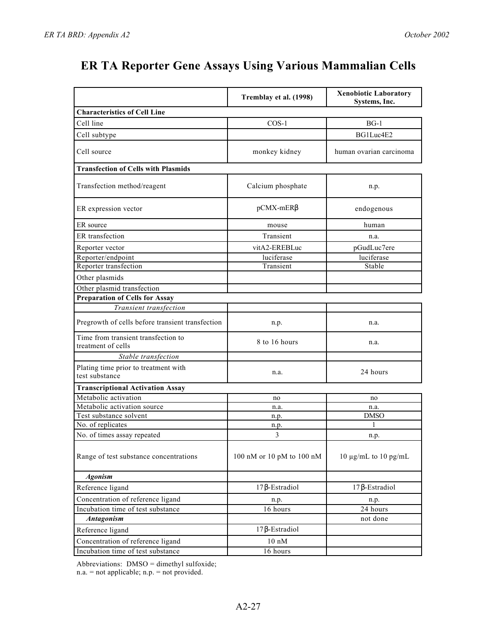|                                                           | Tremblay et al. (1998)    | <b>Xenobiotic Laboratory</b><br>Systems, Inc. |
|-----------------------------------------------------------|---------------------------|-----------------------------------------------|
| <b>Characteristics of Cell Line</b>                       |                           |                                               |
| Cell line                                                 | $COS-1$                   | $BG-1$                                        |
| Cell subtype                                              |                           | BG1Luc4E2                                     |
| Cell source                                               | monkey kidney             | human ovarian carcinoma                       |
| <b>Transfection of Cells with Plasmids</b>                |                           |                                               |
| Transfection method/reagent                               | Calcium phosphate         | n.p.                                          |
| ER expression vector                                      | pCMX-mER                  | endogenous                                    |
| ER source                                                 | mouse                     | human                                         |
| ER transfection                                           | Transient                 | n.a.                                          |
| Reporter vector                                           | vitA2-EREBLuc             | pGudLuc7ere                                   |
| Reporter/endpoint                                         | luciferase                | luciferase                                    |
| Reporter transfection                                     | Transient                 | Stable                                        |
| Other plasmids                                            |                           |                                               |
| Other plasmid transfection                                |                           |                                               |
| <b>Preparation of Cells for Assay</b>                     |                           |                                               |
| Transient transfection                                    |                           |                                               |
| Pregrowth of cells before transient transfection          | n.p.                      | n.a.                                          |
| Time from transient transfection to<br>treatment of cells | 8 to 16 hours             | n.a.                                          |
| Stable transfection                                       |                           |                                               |
| Plating time prior to treatment with<br>test substance    | n.a.                      | 24 hours                                      |
| <b>Transcriptional Activation Assay</b>                   |                           |                                               |
| Metabolic activation                                      | no                        | no                                            |
| Metabolic activation source                               | n.a.                      | n.a.                                          |
| Test substance solvent                                    | n.p.                      | <b>DMSO</b>                                   |
| No. of replicates                                         | n.p.                      | 1                                             |
| No. of times assay repeated                               | 3                         | n.p.                                          |
| Range of test substance concentrations                    | 100 nM or 10 pM to 100 nM | 10 $\mu$ g/mL to 10 pg/mL                     |
| <b>Agonism</b>                                            |                           |                                               |
| Reference ligand                                          | 17 -Estradiol             | -Estradiol<br>17                              |
| Concentration of reference ligand                         | n.p.                      | n.p.                                          |
| Incubation time of test substance                         | 16 hours                  | 24 hours                                      |
| <b>Antagonism</b>                                         |                           | not done                                      |
| Reference ligand                                          | 17 -Estradiol             |                                               |
| Concentration of reference ligand                         | $10 \text{ nM}$           |                                               |
| Incubation time of test substance                         | 16 hours                  |                                               |

Abbreviations: DMSO = dimethyl sulfoxide;